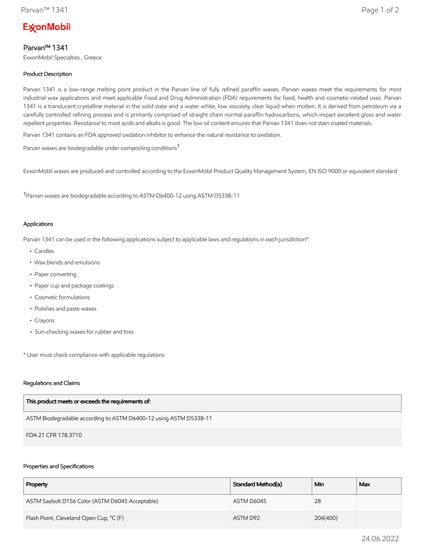# **ExconMobil**

# Parvan™ 1341

ExxonMobil Specialties , Greece

# Product Description

Parvan 1341 is a low-range melting point product in the Parvan line of fully refined paraffin waxes. Parvan waxes meet the requirements for most industrial wax applications and meet applicable Food and Drug Administration (FDA) requirements for food, health and cosmetic-related uses. Parvan 1341 is a translucent crystalline material in the solid state and a water white, low viscosity, clear liquid when molten. It is derived from petroleum via a carefully controlled refining process and is primarily comprised of straight chain normal paraffin hydrocarbons, which impart excellent gloss and water repellent properties. Resistance to most acids and alkalis is good. The low oil content ensures that Parvan 1341 does not stain coated materials.

Parvan 1341 contains an FDA approved oxidation inhibitor to enhance the natural resistance to oxidation.

Parvan waxes are biodegradable under composting conditions†

ExxonMobil waxes are produced and controlled according to the ExxonMobil Product Quality Management System, EN ISO 9000 or equivalent standard

†Parvan waxes are biodegradable according to ASTM D6400-12 using ASTM D5338-11

## Applications

Parvan 1341 can be used in the following applications subject to applicable laws and regulations in each jurisdiction\*:

- Candles
- Wax blends and emulsions
- Paper converting
- Paper cup and package coatings
- Cosmetic formulations
- Polishes and paste waxes
- Crayons
- Sun-checking waxes for rubber and tires

\* User must check compliance with applicable regulations

### Regulations and Claims

| This product meets or exceeds the requirements of:                |
|-------------------------------------------------------------------|
| ASTM Biodegradable according to ASTM D6400-12 using ASTM D5338-11 |
| FDA 21 CFR 178.3710                                               |

## Properties and Specifications

| Property                                        | Standard Method(a) | Min      | Max |
|-------------------------------------------------|--------------------|----------|-----|
| ASTM Saybolt D156 Color (ASTM D6045 Acceptable) | ASTM D6045         | 28       |     |
| Flash Point, Cleveland Open Cup, °C (F)         | ASTM D92           | 204(400) |     |